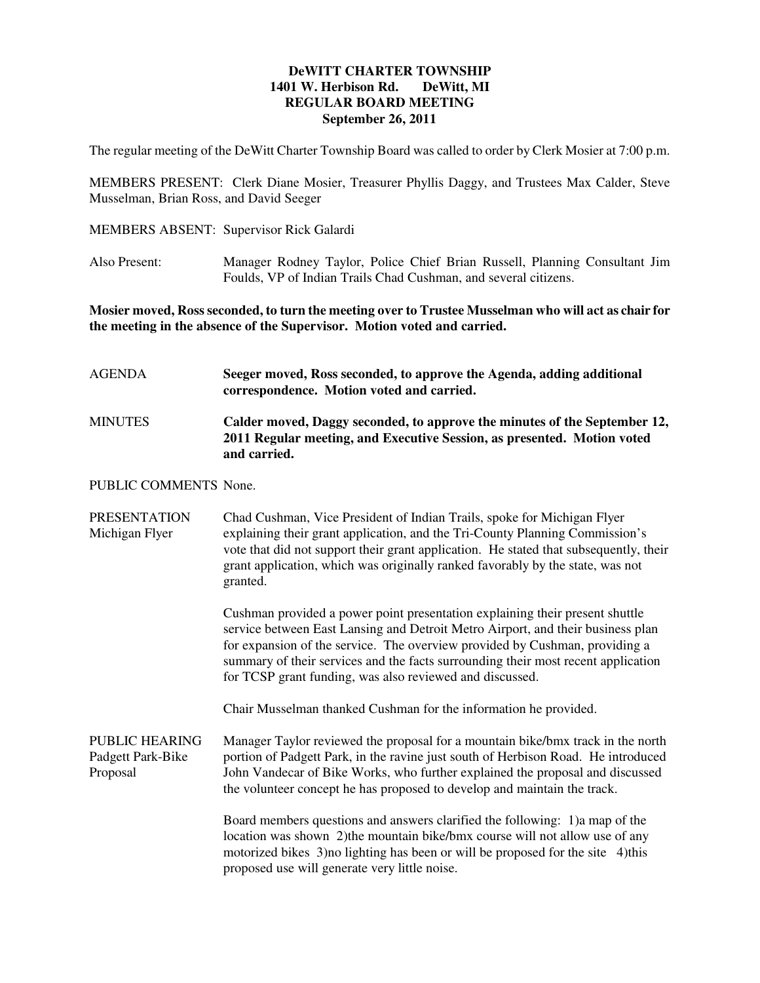## **DeWITT CHARTER TOWNSHIP 1401 W. Herbison Rd. DeWitt, MI REGULAR BOARD MEETING September 26, 2011**

The regular meeting of the DeWitt Charter Township Board was called to order by Clerk Mosier at 7:00 p.m.

MEMBERS PRESENT: Clerk Diane Mosier, Treasurer Phyllis Daggy, and Trustees Max Calder, Steve Musselman, Brian Ross, and David Seeger

- MEMBERS ABSENT: Supervisor Rick Galardi
- Also Present: Manager Rodney Taylor, Police Chief Brian Russell, Planning Consultant Jim Foulds, VP of Indian Trails Chad Cushman, and several citizens.

**Mosier moved, Ross seconded, to turn the meeting over to Trustee Musselman who will act as chair for the meeting in the absence of the Supervisor. Motion voted and carried.** 

| AGENDA                                | Seeger moved, Ross seconded, to approve the Agenda, adding additional<br>correspondence. Motion voted and carried.                                                                                                                                                                                                                                                                              |
|---------------------------------------|-------------------------------------------------------------------------------------------------------------------------------------------------------------------------------------------------------------------------------------------------------------------------------------------------------------------------------------------------------------------------------------------------|
| <b>MINUTES</b>                        | Calder moved, Daggy seconded, to approve the minutes of the September 12,<br>2011 Regular meeting, and Executive Session, as presented. Motion voted<br>and carried.                                                                                                                                                                                                                            |
| PUBLIC COMMENTS None.                 |                                                                                                                                                                                                                                                                                                                                                                                                 |
| <b>PRESENTATION</b><br>Michigan Flyer | Chad Cushman, Vice President of Indian Trails, spoke for Michigan Flyer<br>explaining their grant application, and the Tri-County Planning Commission's<br>vote that did not support their grant application. He stated that subsequently, their<br>grant application, which was originally ranked favorably by the state, was not<br>granted.                                                  |
|                                       | Cushman provided a power point presentation explaining their present shuttle<br>service between East Lansing and Detroit Metro Airport, and their business plan<br>for expansion of the service. The overview provided by Cushman, providing a<br>summary of their services and the facts surrounding their most recent application<br>for TCSP grant funding, was also reviewed and discussed. |
|                                       | Chair Musselman thanked Cushman for the information he provided.                                                                                                                                                                                                                                                                                                                                |

PUBLIC HEARING Manager Taylor reviewed the proposal for a mountain bike/bmx track in the north Padgett Park-Bike portion of Padgett Park, in the ravine just south of Herbison Road. He introduced Proposal John Vandecar of Bike Works, who further explained the proposal and discussed the volunteer concept he has proposed to develop and maintain the track.

> Board members questions and answers clarified the following: 1)a map of the location was shown 2)the mountain bike/bmx course will not allow use of any motorized bikes 3) no lighting has been or will be proposed for the site 4) this proposed use will generate very little noise.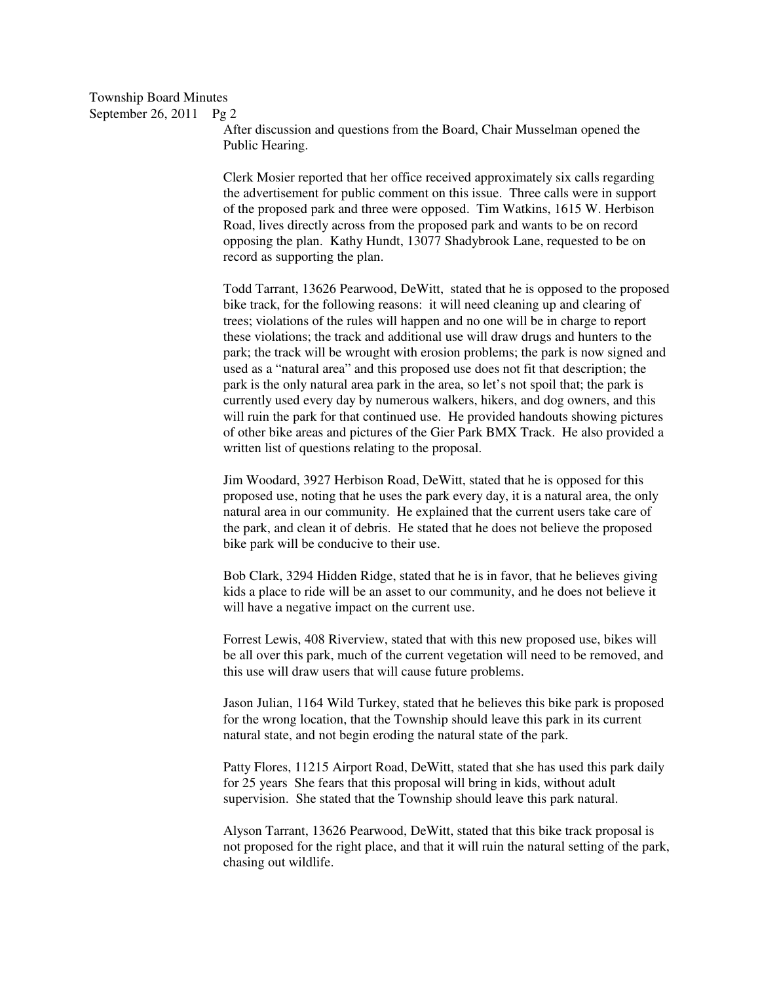After discussion and questions from the Board, Chair Musselman opened the Public Hearing.

Clerk Mosier reported that her office received approximately six calls regarding the advertisement for public comment on this issue. Three calls were in support of the proposed park and three were opposed. Tim Watkins, 1615 W. Herbison Road, lives directly across from the proposed park and wants to be on record opposing the plan. Kathy Hundt, 13077 Shadybrook Lane, requested to be on record as supporting the plan.

Todd Tarrant, 13626 Pearwood, DeWitt, stated that he is opposed to the proposed bike track, for the following reasons: it will need cleaning up and clearing of trees; violations of the rules will happen and no one will be in charge to report these violations; the track and additional use will draw drugs and hunters to the park; the track will be wrought with erosion problems; the park is now signed and used as a "natural area" and this proposed use does not fit that description; the park is the only natural area park in the area, so let's not spoil that; the park is currently used every day by numerous walkers, hikers, and dog owners, and this will ruin the park for that continued use. He provided handouts showing pictures of other bike areas and pictures of the Gier Park BMX Track. He also provided a written list of questions relating to the proposal.

Jim Woodard, 3927 Herbison Road, DeWitt, stated that he is opposed for this proposed use, noting that he uses the park every day, it is a natural area, the only natural area in our community. He explained that the current users take care of the park, and clean it of debris. He stated that he does not believe the proposed bike park will be conducive to their use.

Bob Clark, 3294 Hidden Ridge, stated that he is in favor, that he believes giving kids a place to ride will be an asset to our community, and he does not believe it will have a negative impact on the current use.

Forrest Lewis, 408 Riverview, stated that with this new proposed use, bikes will be all over this park, much of the current vegetation will need to be removed, and this use will draw users that will cause future problems.

Jason Julian, 1164 Wild Turkey, stated that he believes this bike park is proposed for the wrong location, that the Township should leave this park in its current natural state, and not begin eroding the natural state of the park.

Patty Flores, 11215 Airport Road, DeWitt, stated that she has used this park daily for 25 years She fears that this proposal will bring in kids, without adult supervision. She stated that the Township should leave this park natural.

Alyson Tarrant, 13626 Pearwood, DeWitt, stated that this bike track proposal is not proposed for the right place, and that it will ruin the natural setting of the park, chasing out wildlife.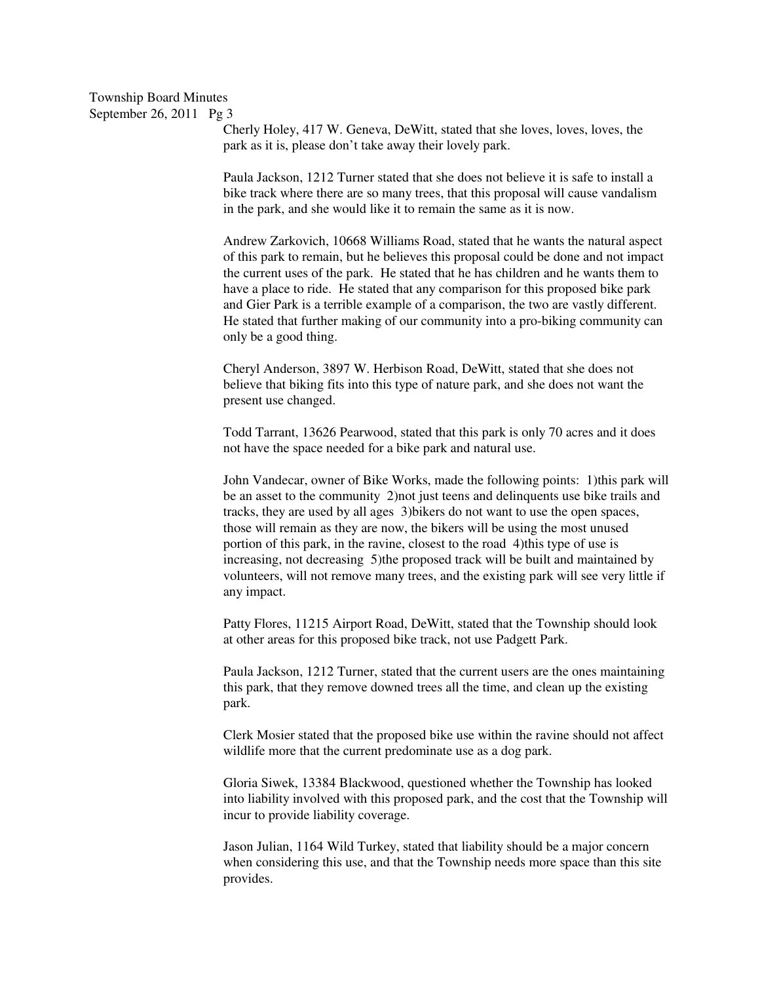Cherly Holey, 417 W. Geneva, DeWitt, stated that she loves, loves, loves, the park as it is, please don't take away their lovely park.

Paula Jackson, 1212 Turner stated that she does not believe it is safe to install a bike track where there are so many trees, that this proposal will cause vandalism in the park, and she would like it to remain the same as it is now.

Andrew Zarkovich, 10668 Williams Road, stated that he wants the natural aspect of this park to remain, but he believes this proposal could be done and not impact the current uses of the park. He stated that he has children and he wants them to have a place to ride. He stated that any comparison for this proposed bike park and Gier Park is a terrible example of a comparison, the two are vastly different. He stated that further making of our community into a pro-biking community can only be a good thing.

Cheryl Anderson, 3897 W. Herbison Road, DeWitt, stated that she does not believe that biking fits into this type of nature park, and she does not want the present use changed.

Todd Tarrant, 13626 Pearwood, stated that this park is only 70 acres and it does not have the space needed for a bike park and natural use.

John Vandecar, owner of Bike Works, made the following points: 1)this park will be an asset to the community 2)not just teens and delinquents use bike trails and tracks, they are used by all ages 3)bikers do not want to use the open spaces, those will remain as they are now, the bikers will be using the most unused portion of this park, in the ravine, closest to the road 4)this type of use is increasing, not decreasing 5)the proposed track will be built and maintained by volunteers, will not remove many trees, and the existing park will see very little if any impact.

Patty Flores, 11215 Airport Road, DeWitt, stated that the Township should look at other areas for this proposed bike track, not use Padgett Park.

Paula Jackson, 1212 Turner, stated that the current users are the ones maintaining this park, that they remove downed trees all the time, and clean up the existing park.

Clerk Mosier stated that the proposed bike use within the ravine should not affect wildlife more that the current predominate use as a dog park.

Gloria Siwek, 13384 Blackwood, questioned whether the Township has looked into liability involved with this proposed park, and the cost that the Township will incur to provide liability coverage.

Jason Julian, 1164 Wild Turkey, stated that liability should be a major concern when considering this use, and that the Township needs more space than this site provides.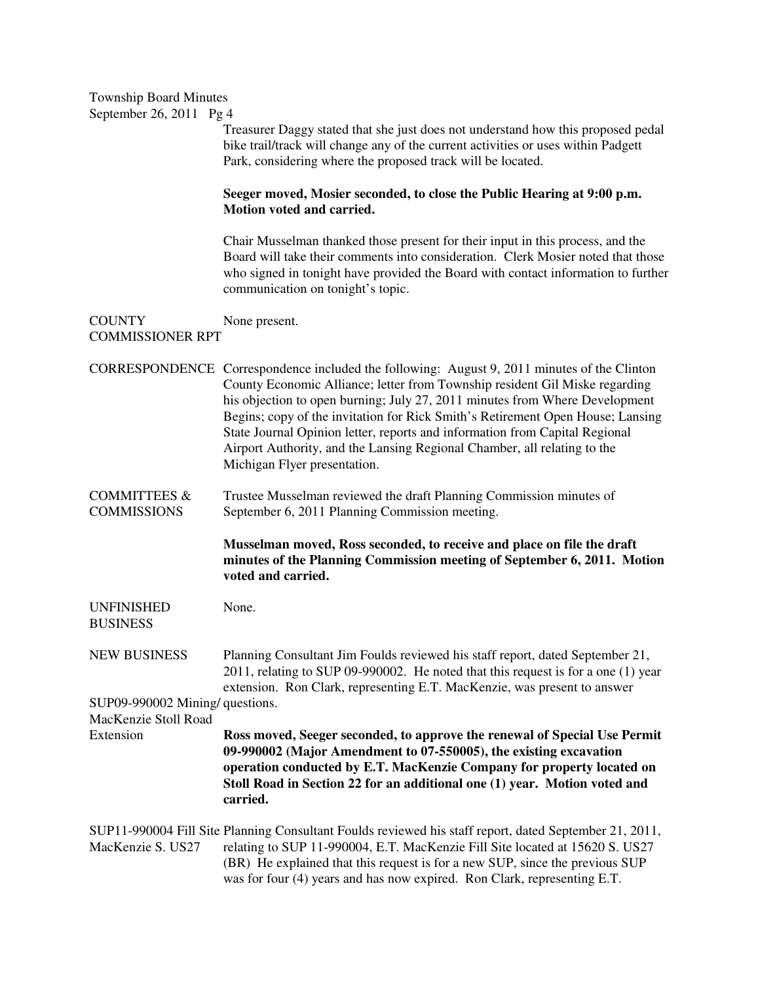| <b>Township Board Minutes</b><br>September 26, 2011 Pg 4 |                                                                                                                                                                                                                                                                                                                                                                                                                                                                                                                                        |
|----------------------------------------------------------|----------------------------------------------------------------------------------------------------------------------------------------------------------------------------------------------------------------------------------------------------------------------------------------------------------------------------------------------------------------------------------------------------------------------------------------------------------------------------------------------------------------------------------------|
|                                                          | Treasurer Daggy stated that she just does not understand how this proposed pedal<br>bike trail/track will change any of the current activities or uses within Padgett<br>Park, considering where the proposed track will be located.                                                                                                                                                                                                                                                                                                   |
|                                                          | Seeger moved, Mosier seconded, to close the Public Hearing at 9:00 p.m.<br>Motion voted and carried.                                                                                                                                                                                                                                                                                                                                                                                                                                   |
|                                                          | Chair Musselman thanked those present for their input in this process, and the<br>Board will take their comments into consideration. Clerk Mosier noted that those<br>who signed in tonight have provided the Board with contact information to further<br>communication on tonight's topic.                                                                                                                                                                                                                                           |
| <b>COUNTY</b><br><b>COMMISSIONER RPT</b>                 | None present.                                                                                                                                                                                                                                                                                                                                                                                                                                                                                                                          |
|                                                          | CORRESPONDENCE Correspondence included the following: August 9, 2011 minutes of the Clinton<br>County Economic Alliance; letter from Township resident Gil Miske regarding<br>his objection to open burning; July 27, 2011 minutes from Where Development<br>Begins; copy of the invitation for Rick Smith's Retirement Open House; Lansing<br>State Journal Opinion letter, reports and information from Capital Regional<br>Airport Authority, and the Lansing Regional Chamber, all relating to the<br>Michigan Flyer presentation. |
| <b>COMMITTEES &amp;</b><br><b>COMMISSIONS</b>            | Trustee Musselman reviewed the draft Planning Commission minutes of<br>September 6, 2011 Planning Commission meeting.                                                                                                                                                                                                                                                                                                                                                                                                                  |
|                                                          | Musselman moved, Ross seconded, to receive and place on file the draft<br>minutes of the Planning Commission meeting of September 6, 2011. Motion<br>voted and carried.                                                                                                                                                                                                                                                                                                                                                                |
| UNFINISHED<br><b>BUSINESS</b>                            | None.                                                                                                                                                                                                                                                                                                                                                                                                                                                                                                                                  |
| <b>NEW BUSINESS</b>                                      | Planning Consultant Jim Foulds reviewed his staff report, dated September 21,<br>2011, relating to SUP 09-990002. He noted that this request is for a one (1) year<br>extension. Ron Clark, representing E.T. MacKenzie, was present to answer                                                                                                                                                                                                                                                                                         |
| SUP09-990002 Mining/ questions.                          |                                                                                                                                                                                                                                                                                                                                                                                                                                                                                                                                        |
| MacKenzie Stoll Road<br>Extension                        | Ross moved, Seeger seconded, to approve the renewal of Special Use Permit<br>09-990002 (Major Amendment to 07-550005), the existing excavation<br>operation conducted by E.T. MacKenzie Company for property located on<br>Stoll Road in Section 22 for an additional one (1) year. Motion voted and<br>carried.                                                                                                                                                                                                                       |
| MacKenzie S. US27                                        | SUP11-990004 Fill Site Planning Consultant Foulds reviewed his staff report, dated September 21, 2011,<br>relating to SUP 11-990004, E.T. MacKenzie Fill Site located at 15620 S. US27<br>(BR) He explained that this request is for a new SUP, since the previous SUP<br>was for four (4) years and has now expired. Ron Clark, representing E.T.                                                                                                                                                                                     |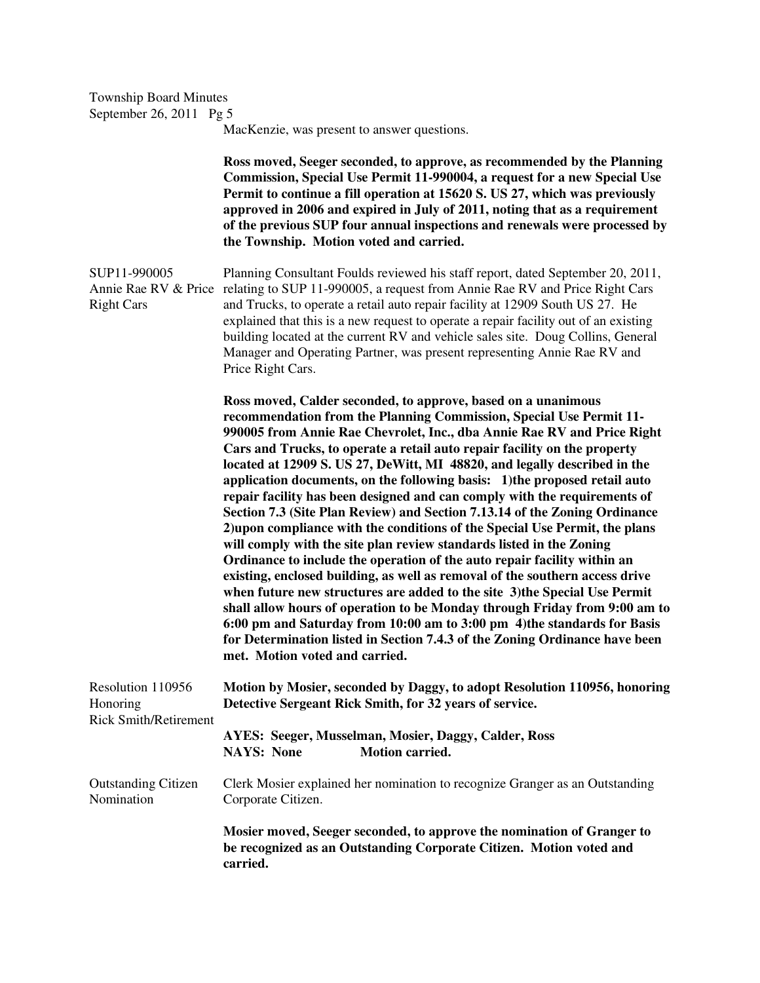MacKenzie, was present to answer questions.

 **Ross moved, Seeger seconded, to approve, as recommended by the Planning Commission, Special Use Permit 11-990004, a request for a new Special Use Permit to continue a fill operation at 15620 S. US 27, which was previously approved in 2006 and expired in July of 2011, noting that as a requirement of the previous SUP four annual inspections and renewals were processed by the Township. Motion voted and carried.**  SUP11-990005 Planning Consultant Foulds reviewed his staff report, dated September 20, 2011, Annie Rae RV & Price relating to SUP 11-990005, a request from Annie Rae RV and Price Right Cars

Right Cars and Trucks, to operate a retail auto repair facility at 12909 South US 27. He explained that this is a new request to operate a repair facility out of an existing building located at the current RV and vehicle sales site. Doug Collins, General Manager and Operating Partner, was present representing Annie Rae RV and Price Right Cars.

> **Ross moved, Calder seconded, to approve, based on a unanimous recommendation from the Planning Commission, Special Use Permit 11- 990005 from Annie Rae Chevrolet, Inc., dba Annie Rae RV and Price Right Cars and Trucks, to operate a retail auto repair facility on the property located at 12909 S. US 27, DeWitt, MI 48820, and legally described in the application documents, on the following basis: 1)the proposed retail auto repair facility has been designed and can comply with the requirements of Section 7.3 (Site Plan Review) and Section 7.13.14 of the Zoning Ordinance 2)upon compliance with the conditions of the Special Use Permit, the plans will comply with the site plan review standards listed in the Zoning Ordinance to include the operation of the auto repair facility within an existing, enclosed building, as well as removal of the southern access drive when future new structures are added to the site 3)the Special Use Permit shall allow hours of operation to be Monday through Friday from 9:00 am to 6:00 pm and Saturday from 10:00 am to 3:00 pm 4)the standards for Basis for Determination listed in Section 7.4.3 of the Zoning Ordinance have been met. Motion voted and carried.**

| Resolution 110956                        | Motion by Mosier, seconded by Daggy, to adopt Resolution 110956, honoring                                                                                 |
|------------------------------------------|-----------------------------------------------------------------------------------------------------------------------------------------------------------|
| Honoring                                 | Detective Sergeant Rick Smith, for 32 years of service.                                                                                                   |
| <b>Rick Smith/Retirement</b>             |                                                                                                                                                           |
|                                          | AYES: Seeger, Musselman, Mosier, Daggy, Calder, Ross                                                                                                      |
|                                          | <b>Motion carried.</b><br><b>NAYS: None</b>                                                                                                               |
| <b>Outstanding Citizen</b><br>Nomination | Clerk Mosier explained her nomination to recognize Granger as an Outstanding<br>Corporate Citizen.                                                        |
|                                          | Mosier moved, Seeger seconded, to approve the nomination of Granger to<br>be recognized as an Outstanding Corporate Citizen. Motion voted and<br>carried. |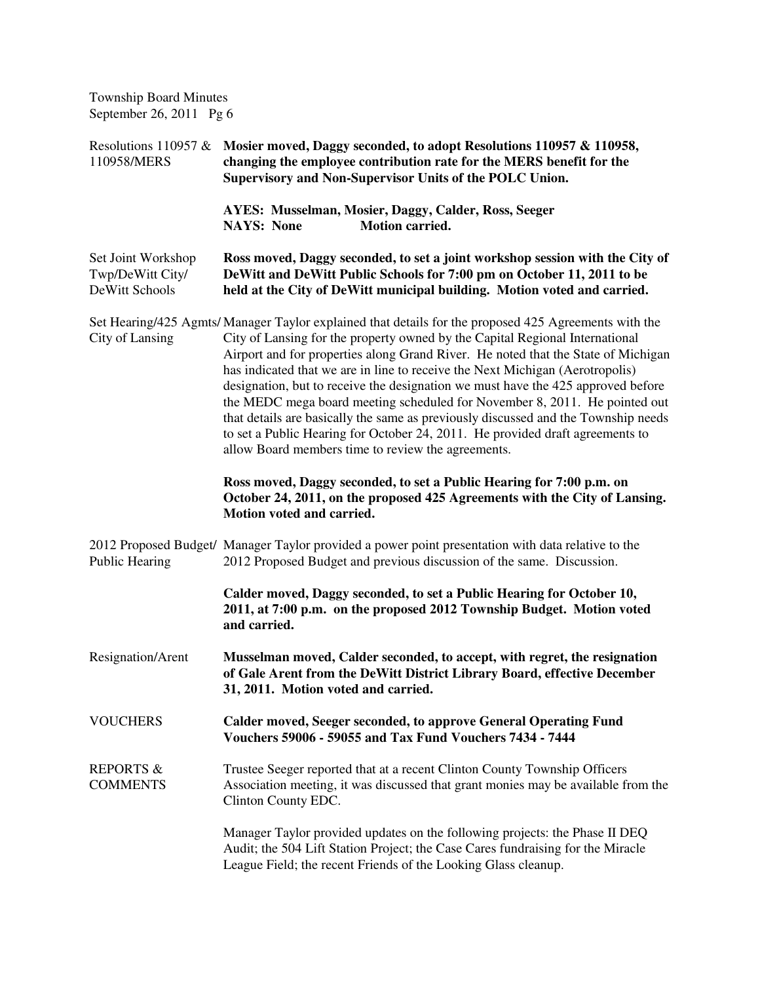Resolutions 110957 & **Mosier moved, Daggy seconded, to adopt Resolutions 110957 & 110958,**  110958/MERS **changing the employee contribution rate for the MERS benefit for the Supervisory and Non-Supervisor Units of the POLC Union. AYES: Musselman, Mosier, Daggy, Calder, Ross, Seeger NAYS:** None **Motion carried.** Set Joint Workshop **Ross moved, Daggy seconded, to set a joint workshop session with the City of** Twp/DeWitt City/ **DeWitt and DeWitt Public Schools for 7:00 pm on October 11, 2011 to be**  DeWitt Schools **held at the City of DeWitt municipal building. Motion voted and carried.** Set Hearing/425 Agmts/ Manager Taylor explained that details for the proposed 425 Agreements with the City of Lansing City of Lansing for the property owned by the Capital Regional International Airport and for properties along Grand River. He noted that the State of Michigan has indicated that we are in line to receive the Next Michigan (Aerotropolis) designation, but to receive the designation we must have the 425 approved before the MEDC mega board meeting scheduled for November 8, 2011. He pointed out that details are basically the same as previously discussed and the Township needs to set a Public Hearing for October 24, 2011. He provided draft agreements to allow Board members time to review the agreements. **Ross moved, Daggy seconded, to set a Public Hearing for 7:00 p.m. on October 24, 2011, on the proposed 425 Agreements with the City of Lansing. Motion voted and carried.**  2012 Proposed Budget/ Manager Taylor provided a power point presentation with data relative to the Public Hearing 2012 Proposed Budget and previous discussion of the same. Discussion. **Calder moved, Daggy seconded, to set a Public Hearing for October 10, 2011, at 7:00 p.m. on the proposed 2012 Township Budget. Motion voted and carried.**  Resignation/Arent **Musselman moved, Calder seconded, to accept, with regret, the resignation of Gale Arent from the DeWitt District Library Board, effective December 31, 2011. Motion voted and carried.**  VOUCHERS **Calder moved, Seeger seconded, to approve General Operating Fund Vouchers 59006 - 59055 and Tax Fund Vouchers 7434 - 7444**  REPORTS & Trustee Seeger reported that at a recent Clinton County Township Officers COMMENTS Association meeting, it was discussed that grant monies may be available from the Clinton County EDC. Manager Taylor provided updates on the following projects: the Phase II DEQ Audit; the 504 Lift Station Project; the Case Cares fundraising for the Miracle League Field; the recent Friends of the Looking Glass cleanup.